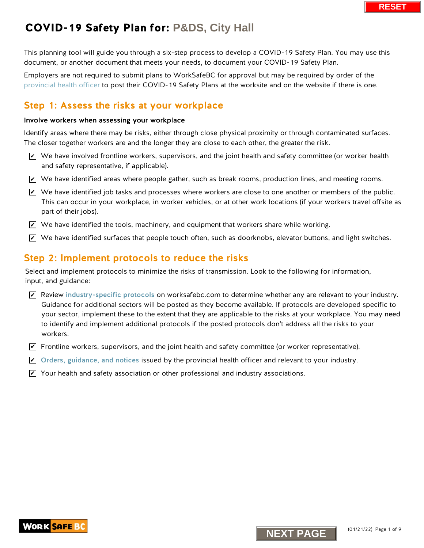This planning tool will guide you through a six-step process to develop a COVID-19 Safety Plan. You may use this document, or another document that meets your needs, to document your COVID-19 Safety Plan.

Employers are not required to submit plans to WorkSafeBC for approval but may be required by order of the [provincial health officer](https://www2.gov.bc.ca/gov/content/health/about-bc-s-health-care-system/office-of-the-provincial-health-officer/current-health-topics/covid-19-novel-coronavirus) to post their COVID-19 Safety Plans at the worksite and on the website if there is one.

### Step 1: Assess the risks at your workplace

#### Involve workers when assessing your workplace

Identify areas where there may be risks, either through close physical proximity or through contaminated surfaces. The closer together workers are and the longer they are close to each other, the greater the risk.

- $\triangledown$  We have involved frontline workers, supervisors, and the joint health and safety committee (or worker health and safety representative, if applicable).
- $\blacktriangleright$  We have identified areas where people gather, such as break rooms, production lines, and meeting rooms.
- $\blacktriangleright$  We have identified job tasks and processes where workers are close to one another or members of the public. This can occur in your workplace, in worker vehicles, or at other work locations (if your workers travel offsite as part of their jobs).
- $\blacktriangleright$  We have identified the tools, machinery, and equipment that workers share while working.
- $\blacktriangleright$  We have identified surfaces that people touch often, such as doorknobs, elevator buttons, and light switches.

### Step 2: Implement protocols to reduce the risks

Select and implement protocols to minimize the risks of transmission. Look to the following for information, input, and guidance:

- $\blacktriangleright$  Review [industry-specific protocols](https://www.worksafebc.com/en/covid-19/industry-specific-information) on worksafebc.com to determine whether any are relevant to your industry. Guidance for additional sectors will be posted as they become available. If protocols are developed specific to your sector, implement these to the extent that they are applicable to the risks at your workplace. You may need to identify and implement additional protocols if the posted protocols don't address all the risks to your workers. We have involved frontiine workers, supervisors, and the joint health and safety committed and safety representative; if applicable).<br>
Ne have identified areas where people gather, such as break rooms, production lines, an
- $\blacktriangledown$  Frontline workers, supervisors, and the joint health and safety committee (or worker representative).
- $\blacktriangleright$  [Orders, guidance, and notices](https://www2.gov.bc.ca/gov/content/health/about-bc-s-health-care-system/office-of-the-provincial-health-officer/current-health-topics/covid-19-novel-coronavirus) issued by the provincial health officer and relevant to your industry.
- $\blacktriangleright$  Your health and safety association or other professional and industry associations.

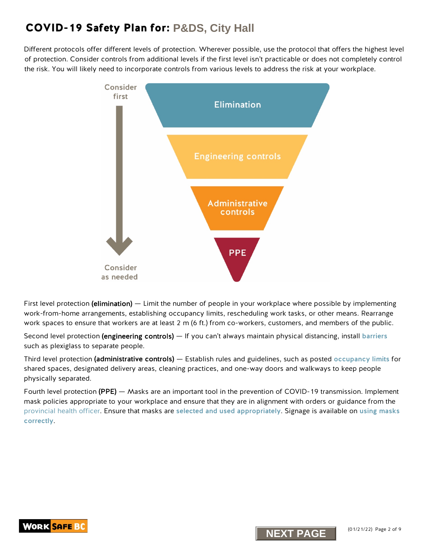Different protocols offer different levels of protection. Wherever possible, use the protocol that offers the highest level of protection. Consider controls from additional levels if the first level isn't practicable or does not completely control the risk. You will likely need to incorporate controls from various levels to address the risk at your workplace.



First level protection (elimination) — Limit the number of people in your workplace where possible by implementing work-from-home arrangements, establishing occupancy limits, rescheduling work tasks, or other means. Rearrange work spaces to ensure that workers are at least 2 m (6 ft.) from co-workers, customers, and members of the public.

Second level protection (engineering controls) — If you can't always maintain physical distancing, install [barriers](https://www.worksafebc.com/en/resources/health-safety/information-sheets/covid-19-health-safety-designing-effective-barriers?lang=en) such as plexiglass to separate people.

Third level protection (administrative controls) — Establish rules and guidelines, such as posted [occupancy limits](https://www.worksafebc.com/en/resources/health-safety/posters/help-prevent-spread-covid-19-occupancy-limit?lang=en) for shared spaces, designated delivery areas, cleaning practices, and one-way doors and walkways to keep people physically separated.

Fourth level protection (PPE) — Masks are an important tool in the prevention of COVID-19 transmission. Implement mask policies appropriate to your workplace and ensure that they are in alignment with orders or guidance from the [provincial health officer.](https://www2.gov.bc.ca/gov/content/health/about-bc-s-health-care-system/office-of-the-provincial-health-officer/current-health-topics/covid-19-novel-coronavirus) Ensure that masks are [selected and used](http://www.bccdc.ca/health-info/diseases-conditions/covid-19/prevention-risks/masks) appropriately. Signage is available on [using masks](https://www.worksafebc.com/en/resources/health-safety/information-sheets/covid-19-health-safety-selecting-using-masks?lang=en)  [correctly](https://www.worksafebc.com/en/resources/health-safety/posters/help-prevent-spread-covid-19-how-to-use-mask?lang=en).



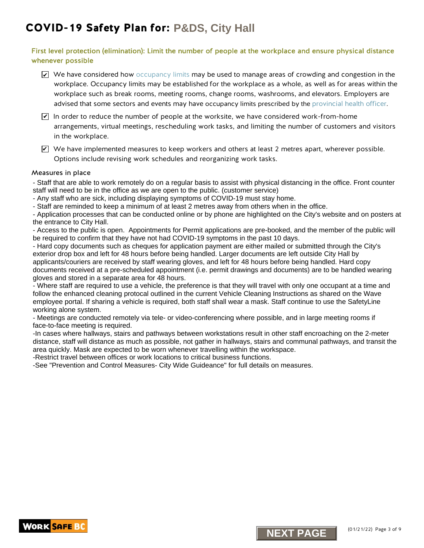### First level protection (elimination): Limit the number of people at the workplace and ensure physical distance whenever possible

- $\blacktriangleright$  We have considered ho[w occupancy limits](ttps://www.worksafebc.com/resources/health-safety/posters/prevent-spread-communicable-disease-occupancy-limit?lang=en) may be used to manage areas of crowding and congestion in the workplace. Occupancy limits may be established for the workplace as a whole, as well as for areas within the workplace such as break rooms, meeting rooms, change rooms, washrooms, and elevators. Employers are advised that some sectors and events may have occupancy limits prescribed by th[e provincial health officer.](https://www2.gov.bc.ca/gov/content/health/about-bc-s-health-care-system/office-of-the-provincial-health-officer/current-health-topics/covid-19-novel-coronavirus)
- $\blacktriangleright$  In order to reduce the number of people at the worksite, we have considered work-from-home arrangements, virtual meetings, rescheduling work tasks, and limiting the number of customers and visitors in the workplace.
- $\triangledown$  We have implemented measures to keep workers and others at least 2 metres apart, wherever possible. Options include revising work schedules and reorganizing work tasks.

#### Measures in place

- Staff that are able to work remotely do on a regular basis to assist with physical distancing in the office. Front counter staff will need to be in the office as we are open to the public. (customer service)

- Any staff who are sick, including displaying symptoms of COVID-19 must stay home.

- Staff are reminded to keep a minimum of at least 2 metres away from others when in the office.

- Application processes that can be conducted online or by phone are highlighted on the City's website and on posters at the entrance to City Hall.

- Access to the public is open. Appointments for Permit applications are pre-booked, and the member of the public will be required to confirm that they have not had COVID-19 symptoms in the past 10 days.

**New the implemented measures to keep workers and others at least 2 methanol and the basis and the solution of the basis of the solution of the solution of the state of the state in place of the state in the and the soluti** - Hard copy documents such as cheques for application payment are either mailed or submitted through the City's exterior drop box and left for 48 hours before being handled. Larger documents are left outside City Hall by applicants/couriers are received by staff wearing gloves, and left for 48 hours before being handled. Hard copy documents received at a pre-scheduled appointment (i.e. permit drawings and documents) are to be handled wearing gloves and stored in a separate area for 48 hours.

- Where staff are required to use a vehicle, the preference is that they will travel with only one occupant at a time and follow the enhanced cleaning protocal outlined in the current Vehicle Cleaning Instructions as shared on the Wave employee portal. If sharing a vehicle is required, both staff shall wear a mask. Staff continue to use the SafetyLine working alone system.

- Meetings are conducted remotely via tele- or video-conferencing where possible, and in large meeting rooms if face-to-face meeting is required.

-In cases where hallways, stairs and pathways between workstations result in other staff encroaching on the 2-meter distance, staff will distance as much as possible, not gather in hallways, stairs and communal pathways, and transit the area quickly. Mask are expected to be worn whenever travelling within the workspace.

-Restrict travel between offices or work locations to critical business functions.

-See "Prevention and Control Measures- City Wide Guideance" for full details on measures.



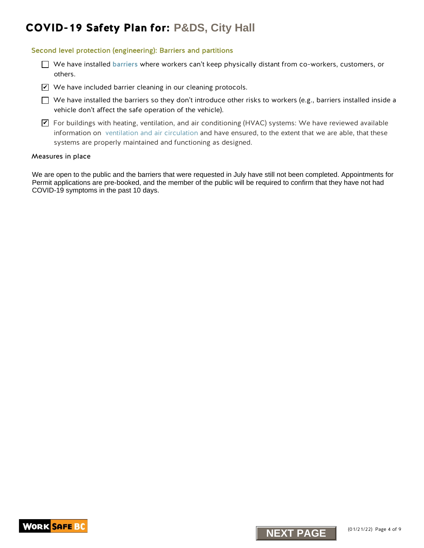#### Second level protection (engineering): Barriers and partitions

- $\Box$  We have installed [barriers](https://www.worksafebc.com/en/resources/health-safety/information-sheets/covid-19-health-safety-designing-effective-barriers?lang=en) where workers can't keep physically distant from co-workers, customers, or others.
- We have included barrier cleaning in our cleaning protocols.
- $\Box$  We have installed the barriers so they don't introduce other risks to workers (e.g., barriers installed inside a vehicle don't affect the safe operation of the vehicle).
- $\blacktriangledown$  For buildings with heating, ventilation, and air conditioning (HVAC) systems: We have reviewed available information on [ventilation and air circulation](https://www.worksafebc.com/resources/about-us/covid-19/general-ventilation-and-air-circulation-covid-19-faq?lang=en) and have ensured, to the extent that we are able, that these systems are properly maintained and functioning as designed. **N** where included tarriers clearly in our cleaning procedes.<br>
The have installed the barriers contexplaint introduce other risks to workers (e.g., bar<br>
which don't affect the safe operation of the which,<br>
Information on v

#### Measures in place

We are open to the public and the barriers that were requested in July have still not been completed. Appointments for Permit applications are pre-booked, and the member of the public will be required to confirm that they have not had COVID-19 symptoms in the past 10 days.



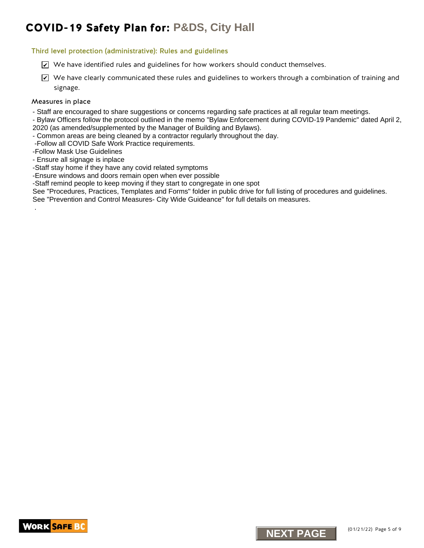#### Third level protection (administrative): Rules and guidelines

- $\trianglerighteq$  We have identified rules and guidelines for how workers should conduct themselves.
- $\blacktriangleright$  We have clearly communicated these rules and guidelines to workers through a combination of training and signage. K we have identified rules and guidelines for how workers should conduct themselves.<br>
NEXT Phase identified rules and guidelines rules and guidelines to societize through a complete strategrapy.<br>
NEXT Place the place of th

#### Measures in place

.

- Staff are encouraged to share suggestions or concerns regarding safe practices at all regular team meetings.
- Bylaw Officers follow the protocol outlined in the memo "Bylaw Enforcement during COVID-19 Pandemic" dated April 2, 2020 (as amended/supplemented by the Manager of Building and Bylaws).
- Common areas are being cleaned by a contractor regularly throughout the day.
- -Follow all COVID Safe Work Practice requirements.
- -Follow Mask Use Guidelines
- Ensure all signage is inplace
- -Staff stay home if they have any covid related symptoms
- -Ensure windows and doors remain open when ever possible
- -Staff remind people to keep moving if they start to congregate in one spot
- See "Procedures, Practices, Templates and Forms" folder in public drive for full listing of procedures and guidelines.
- See "Prevention and Control Measures- City Wide Guideance" for full details on measures.



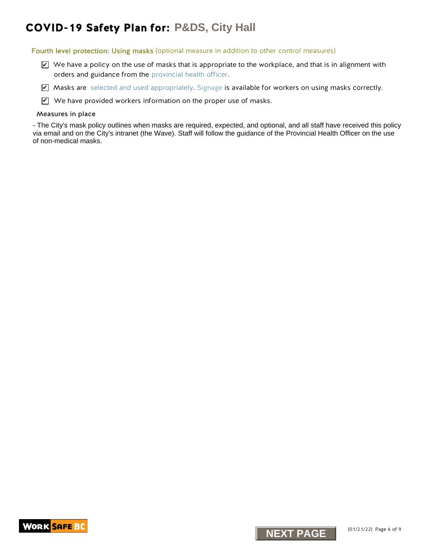Fourth level protection: Using masks (optional measure in addition to other control measures)

- $\triangledown$  We have a policy on the use of masks that is appropriate to the workplace, and that is in alignment with orders and guidance from the [provincial health officer.](https://www2.gov.bc.ca/gov/content/covid-19/info/restrictions)
- $\blacktriangledown$  Masks are [selected and used appropriately.](http://www.bccdc.ca/health-info/diseases-conditions/covid-19/prevention-risks/masks) [Signage](https://www.worksafebc.com/resources/health-safety/posters/prevent-spread-communicable-disease-how-to-use-mask?lang=en) is available for workers on using masks correctly.
- $\mathbf Z$  We have provided workers information on the proper use of masks.

#### Measures in place

**NEXT PAGES**<br> **NEXT PAGES**<br> **NEXT ASSES CONTINUOS**<br> **NEXT ASSES CONTINUOS**<br> **NEXT ASSES CONTINUOS**<br> **NEXT ASSES CONTINUOS**<br> **NEXT ASSES CONTINUOS**<br> **NEXT PAGES**<br> **REXT PAGES**<br> **REXT PAGES**<br> **REXT PAGES**<br> **REXT PAGES**<br> **REX** - The City's mask policy outlines when masks are required, expected, and optional, and all staff have received this policy via email and on the City's intranet (the Wave). Staff will follow the guidance of the Provincial Health Officer on the use of non-medical masks.



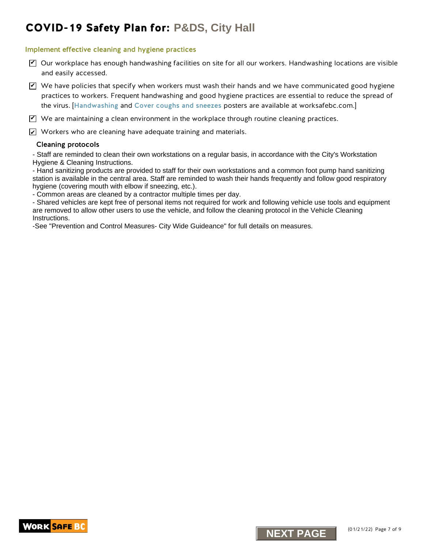#### Implement effective cleaning and hygiene practices

- $\triangledown$  Our workplace has enough handwashing facilities on site for all our workers. Handwashing locations are visible and easily accessed.
- $\blacktriangledown$  We have policies that specify when workers must wash their hands and we have communicated good hygiene practices to workers. Frequent handwashing and good hygiene practices are essential to reduce the spread of the virus. [[Handwashing](https://www.worksafebc.com/en/resources/health-safety/posters/help-prevent-spread-covid-19-handwashing?lang=en) and [Cover coughs and sneezes](https://www.worksafebc.com/en/resources/health-safety/posters/help-prevent-spread-covid-19-cover-coughs-sneezes?lang=en) posters are available at worksafebc.com.] Covides the specific of the specific of the specific of the specific of the specific of the specific of the specific of the specific of the specific of the specific of the specific of the specific of the specific of the sp

 $\blacktriangledown$  We are maintaining a clean environment in the workplace through routine cleaning practices.

 $\angle\!\!\!\!\perp$  Workers who are cleaning have adequate training and materials.

#### Cleaning protocols

- Staff are reminded to clean their own workstations on a regular basis, in accordance with the City's Workstation Hygiene & Cleaning Instructions.

- Hand sanitizing products are provided to staff for their own workstations and a common foot pump hand sanitizing station is available in the central area. Staff are reminded to wash their hands frequently and follow good respiratory hygiene (covering mouth with elbow if sneezing, etc.).

- Common areas are cleaned by a contractor multiple times per day.

- Shared vehicles are kept free of personal items not required for work and following vehicle use tools and equipment are removed to allow other users to use the vehicle, and follow the cleaning protocol in the Vehicle Cleaning Instructions.

-See "Prevention and Control Measures- City Wide Guideance" for full details on measures.



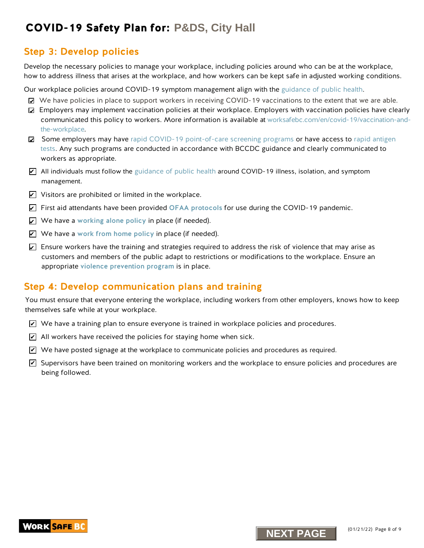### Step 3: Develop policies

Develop the necessary policies to manage your workplace, including policies around who can be at the workplace, how to address illness that arises at the workplace, and how workers can be kept safe in adjusted working conditions.

Our workplace policies around COVID-19 symptom management align with the guidance of public health.

- We have policies in place to support workers in receiving COVID-19 vaccinations to the extent that we are able.
- Employers may implement vaccination policies at their workplace. Employers with vaccination policies have clearly communicated this policy to workers. More information is available at [worksafebc.com/en/covid-19/vaccination-and](https://www.worksafebc.com/en/covid-19/vaccination-and-the-workplace)the-workplace. **NEXT PAGES Plan for: P&DS**, City Hall<br>tep 3: Develop policies<br>
New York Bar Company was verified to increase the model of the model of the model<br>
NEXT PAGES in the state in the state workplace, and have workers can be
- Some employers may have rapid COVID-19 point-of-care screening programs or have access to rapid antigen tests. Any such programs are conducted in accordance with BCCDC guidance and clearly communicated to workers as appropriate.
- $\blacktriangleright$  All individuals must follow the guid[ance of public health](http://www.bccdc.ca/health-info/diseases-conditions/covid-19/self-isolation#How--long) around COVID-19 illness, isolation, and symptom management.
- $\angle$  Visitors are prohibited or limited in the workplace.
- $\blacktriangleright$  First aid attendants have been provided OFAA protocols for use during the COVID-19 pandemic.
- $\angle$  We have a [working alone policy](https://www.worksafebc.com/en/health-safety/hazards-exposures/working-alone) in place (if needed).
- $\angle|$  We have a work from home policy in place (if needed).
- $\triangleright$  Ensure workers have the training and strategies required to address the risk of violence that may arise as customers and members of the public adapt to restrictions or modifications to the workplace. Ensure an appropriate [violence prevention program](https://www.worksafebc.com/en/health-safety/hazards-exposures/violence) is in place.

### Step 4: Develop communication plans and training

You must ensure that everyone entering the workplace, including workers from other employers, knows how to keep themselves safe while at your workplace.

- $\blacktriangleright$  We have a training plan to ensure everyone is trained in workplace policies and procedures.
- $\angle$  All workers have received the policies for staying home when sick.
- $\blacktriangleright$  We have posted signage at the workplace to communicate policies and procedures as required.
- $\blacktriangleright$  Supervisors have been trained on monitoring workers and the workplace to ensure policies and procedures are being followed.